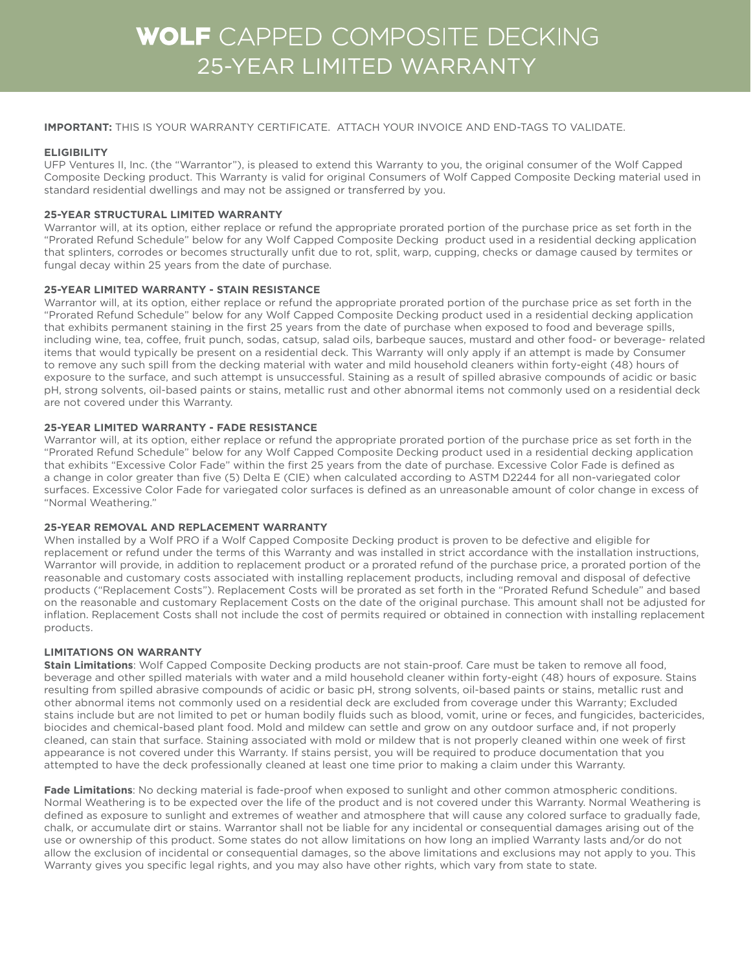# WOLF CAPPED COMPOSITE DECKING 25-YEAR LIMITED WARRANTY

## **IMPORTANT:** THIS IS YOUR WARRANTY CERTIFICATE. ATTACH YOUR INVOICE AND END-TAGS TO VALIDATE.

## **ELIGIBILITY**

UFP Ventures II, Inc. (the "Warrantor"), is pleased to extend this Warranty to you, the original consumer of the Wolf Capped Composite Decking product. This Warranty is valid for original Consumers of Wolf Capped Composite Decking material used in standard residential dwellings and may not be assigned or transferred by you.

## **25-YEAR STRUCTURAL LIMITED WARRANTY**

Warrantor will, at its option, either replace or refund the appropriate prorated portion of the purchase price as set forth in the "Prorated Refund Schedule" below for any Wolf Capped Composite Decking product used in a residential decking application that splinters, corrodes or becomes structurally unfit due to rot, split, warp, cupping, checks or damage caused by termites or fungal decay within 25 years from the date of purchase.

## **25-YEAR LIMITED WARRANTY - STAIN RESISTANCE**

Warrantor will, at its option, either replace or refund the appropriate prorated portion of the purchase price as set forth in the "Prorated Refund Schedule" below for any Wolf Capped Composite Decking product used in a residential decking application that exhibits permanent staining in the first 25 years from the date of purchase when exposed to food and beverage spills, including wine, tea, coffee, fruit punch, sodas, catsup, salad oils, barbeque sauces, mustard and other food- or beverage- related items that would typically be present on a residential deck. This Warranty will only apply if an attempt is made by Consumer to remove any such spill from the decking material with water and mild household cleaners within forty-eight (48) hours of exposure to the surface, and such attempt is unsuccessful. Staining as a result of spilled abrasive compounds of acidic or basic pH, strong solvents, oil-based paints or stains, metallic rust and other abnormal items not commonly used on a residential deck are not covered under this Warranty.

## **25-YEAR LIMITED WARRANTY - FADE RESISTANCE**

Warrantor will, at its option, either replace or refund the appropriate prorated portion of the purchase price as set forth in the "Prorated Refund Schedule" below for any Wolf Capped Composite Decking product used in a residential decking application that exhibits "Excessive Color Fade" within the first 25 years from the date of purchase. Excessive Color Fade is defined as a change in color greater than five (5) Delta E (CIE) when calculated according to ASTM D2244 for all non-variegated color surfaces. Excessive Color Fade for variegated color surfaces is defined as an unreasonable amount of color change in excess of "Normal Weathering."

## **25-YEAR REMOVAL AND REPLACEMENT WARRANTY**

When installed by a Wolf PRO if a Wolf Capped Composite Decking product is proven to be defective and eligible for replacement or refund under the terms of this Warranty and was installed in strict accordance with the installation instructions, Warrantor will provide, in addition to replacement product or a prorated refund of the purchase price, a prorated portion of the reasonable and customary costs associated with installing replacement products, including removal and disposal of defective products ("Replacement Costs"). Replacement Costs will be prorated as set forth in the "Prorated Refund Schedule" and based on the reasonable and customary Replacement Costs on the date of the original purchase. This amount shall not be adjusted for inflation. Replacement Costs shall not include the cost of permits required or obtained in connection with installing replacement products.

## **LIMITATIONS ON WARRANTY**

**Stain Limitations**: Wolf Capped Composite Decking products are not stain-proof. Care must be taken to remove all food, beverage and other spilled materials with water and a mild household cleaner within forty-eight (48) hours of exposure. Stains resulting from spilled abrasive compounds of acidic or basic pH, strong solvents, oil-based paints or stains, metallic rust and other abnormal items not commonly used on a residential deck are excluded from coverage under this Warranty; Excluded stains include but are not limited to pet or human bodily fluids such as blood, vomit, urine or feces, and fungicides, bactericides, biocides and chemical-based plant food. Mold and mildew can settle and grow on any outdoor surface and, if not properly cleaned, can stain that surface. Staining associated with mold or mildew that is not properly cleaned within one week of first appearance is not covered under this Warranty. If stains persist, you will be required to produce documentation that you attempted to have the deck professionally cleaned at least one time prior to making a claim under this Warranty.

**Fade Limitations**: No decking material is fade-proof when exposed to sunlight and other common atmospheric conditions. Normal Weathering is to be expected over the life of the product and is not covered under this Warranty. Normal Weathering is defined as exposure to sunlight and extremes of weather and atmosphere that will cause any colored surface to gradually fade, chalk, or accumulate dirt or stains. Warrantor shall not be liable for any incidental or consequential damages arising out of the use or ownership of this product. Some states do not allow limitations on how long an implied Warranty lasts and/or do not allow the exclusion of incidental or consequential damages, so the above limitations and exclusions may not apply to you. This Warranty gives you specific legal rights, and you may also have other rights, which vary from state to state.